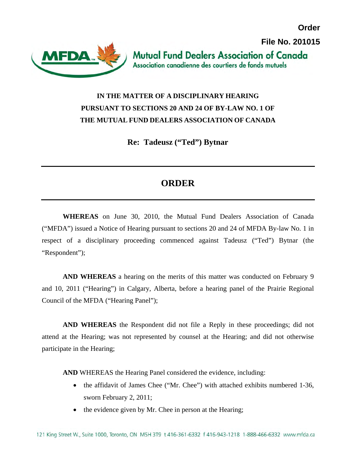

**Order**

## **IN THE MATTER OF A DISCIPLINARY HEARING PURSUANT TO SECTIONS 20 AND 24 OF BY-LAW NO. 1 OF THE MUTUAL FUND DEALERS ASSOCIATION OF CANADA**

**Re: Tadeusz ("Ted") Bytnar** 

## **ORDER**

**WHEREAS** on June 30, 2010, the Mutual Fund Dealers Association of Canada ("MFDA") issued a Notice of Hearing pursuant to sections 20 and 24 of MFDA By-law No. 1 in respect of a disciplinary proceeding commenced against Tadeusz ("Ted") Bytnar (the "Respondent");

**AND WHEREAS** a hearing on the merits of this matter was conducted on February 9 and 10, 2011 ("Hearing") in Calgary, Alberta, before a hearing panel of the Prairie Regional Council of the MFDA ("Hearing Panel");

**AND WHEREAS** the Respondent did not file a Reply in these proceedings; did not attend at the Hearing; was not represented by counsel at the Hearing; and did not otherwise participate in the Hearing;

**AND** WHEREAS the Hearing Panel considered the evidence, including:

- the affidavit of James Chee ("Mr. Chee") with attached exhibits numbered 1-36, sworn February 2, 2011;
- the evidence given by Mr. Chee in person at the Hearing;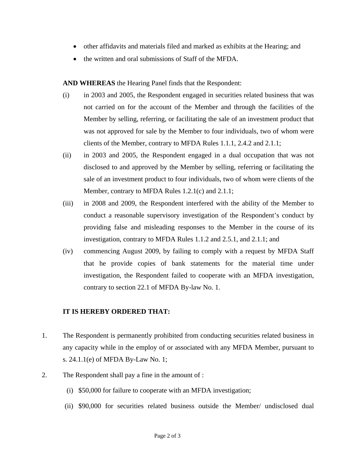- other affidavits and materials filed and marked as exhibits at the Hearing; and
- the written and oral submissions of Staff of the MFDA.

**AND WHEREAS** the Hearing Panel finds that the Respondent:

- (i) in 2003 and 2005, the Respondent engaged in securities related business that was not carried on for the account of the Member and through the facilities of the Member by selling, referring, or facilitating the sale of an investment product that was not approved for sale by the Member to four individuals, two of whom were clients of the Member, contrary to MFDA Rules 1.1.1, 2.4.2 and 2.1.1;
- (ii) in 2003 and 2005, the Respondent engaged in a dual occupation that was not disclosed to and approved by the Member by selling, referring or facilitating the sale of an investment product to four individuals, two of whom were clients of the Member, contrary to MFDA Rules 1.2.1(c) and 2.1.1;
- (iii) in 2008 and 2009, the Respondent interfered with the ability of the Member to conduct a reasonable supervisory investigation of the Respondent's conduct by providing false and misleading responses to the Member in the course of its investigation, contrary to MFDA Rules 1.1.2 and 2.5.1, and 2.1.1; and
- (iv) commencing August 2009, by failing to comply with a request by MFDA Staff that he provide copies of bank statements for the material time under investigation, the Respondent failed to cooperate with an MFDA investigation, contrary to section 22.1 of MFDA By-law No. 1.

## **IT IS HEREBY ORDERED THAT:**

- 1. The Respondent is permanently prohibited from conducting securities related business in any capacity while in the employ of or associated with any MFDA Member, pursuant to s. 24.1.1(e) of MFDA By-Law No. 1;
- 2. The Respondent shall pay a fine in the amount of :
	- (i) \$50,000 for failure to cooperate with an MFDA investigation;
	- (ii) \$90,000 for securities related business outside the Member/ undisclosed dual